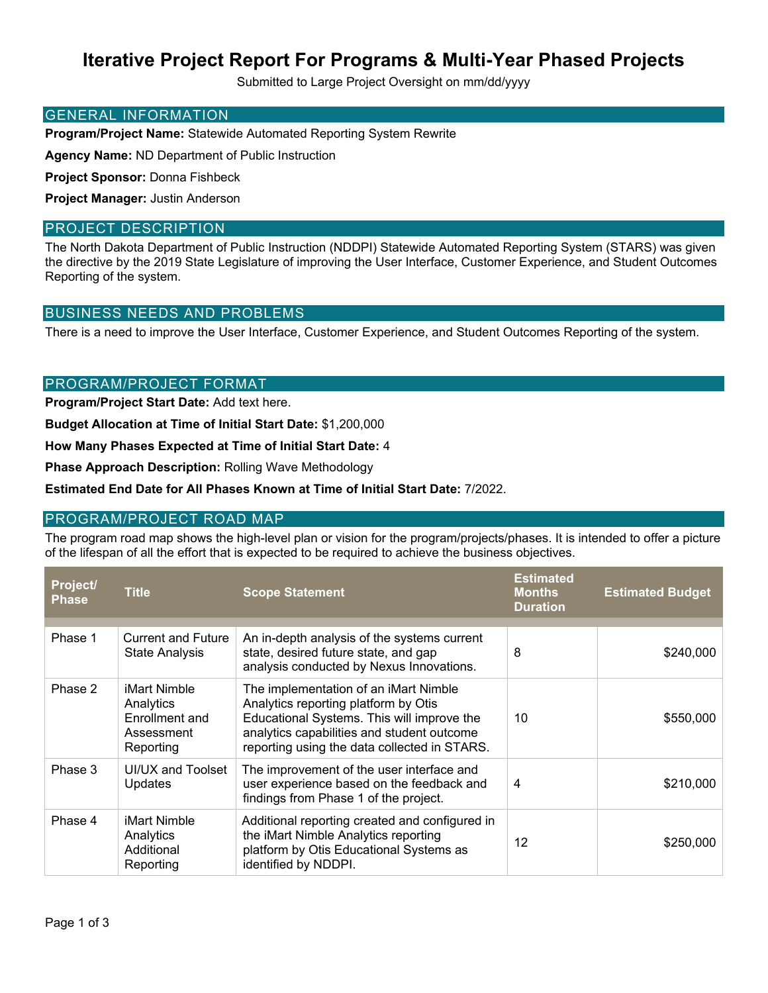# **Iterative Project Report For Programs & Multi-Year Phased Projects**

Submitted to Large Project Oversight on mm/dd/yyyy

#### GENERAL INFORMATION

**Program/Project Name:** Statewide Automated Reporting System Rewrite

**Agency Name:** ND Department of Public Instruction

**Project Sponsor:** Donna Fishbeck

**Project Manager:** Justin Anderson

#### PROJECT DESCRIPTION

The North Dakota Department of Public Instruction (NDDPI) Statewide Automated Reporting System (STARS) was given the directive by the 2019 State Legislature of improving the User Interface, Customer Experience, and Student Outcomes Reporting of the system.

### BUSINESS NEEDS AND PROBLEMS

There is a need to improve the User Interface, Customer Experience, and Student Outcomes Reporting of the system.

### PROGRAM/PROJECT FORMAT

**Program/Project Start Date:** Add text here.

**Budget Allocation at Time of Initial Start Date:** \$1,200,000

**How Many Phases Expected at Time of Initial Start Date:** 4

**Phase Approach Description:** Rolling Wave Methodology

**Estimated End Date for All Phases Known at Time of Initial Start Date:** 7/2022.

### PROGRAM/PROJECT ROAD MAP

The program road map shows the high-level plan or vision for the program/projects/phases. It is intended to offer a picture of the lifespan of all the effort that is expected to be required to achieve the business objectives.

| Project/<br><b>Phase</b> | <b>Title</b>                                                           | <b>Scope Statement</b>                                                                                                                                                                                                    | <b>Estimated</b><br><b>Months</b><br><b>Duration</b> | <b>Estimated Budget</b> |
|--------------------------|------------------------------------------------------------------------|---------------------------------------------------------------------------------------------------------------------------------------------------------------------------------------------------------------------------|------------------------------------------------------|-------------------------|
|                          |                                                                        |                                                                                                                                                                                                                           |                                                      |                         |
| Phase 1                  | <b>Current and Future</b><br><b>State Analysis</b>                     | An in-depth analysis of the systems current<br>state, desired future state, and gap<br>analysis conducted by Nexus Innovations.                                                                                           | 8                                                    | \$240,000               |
| Phase 2                  | iMart Nimble<br>Analytics<br>Enrollment and<br>Assessment<br>Reporting | The implementation of an iMart Nimble<br>Analytics reporting platform by Otis<br>Educational Systems. This will improve the<br>analytics capabilities and student outcome<br>reporting using the data collected in STARS. | 10                                                   | \$550,000               |
| Phase 3                  | UI/UX and Toolset<br>Updates                                           | The improvement of the user interface and<br>user experience based on the feedback and<br>findings from Phase 1 of the project.                                                                                           | 4                                                    | \$210,000               |
| Phase 4                  | iMart Nimble<br>Analytics<br>Additional<br>Reporting                   | Additional reporting created and configured in<br>the iMart Nimble Analytics reporting<br>platform by Otis Educational Systems as<br>identified by NDDPI.                                                                 | 12                                                   | \$250,000               |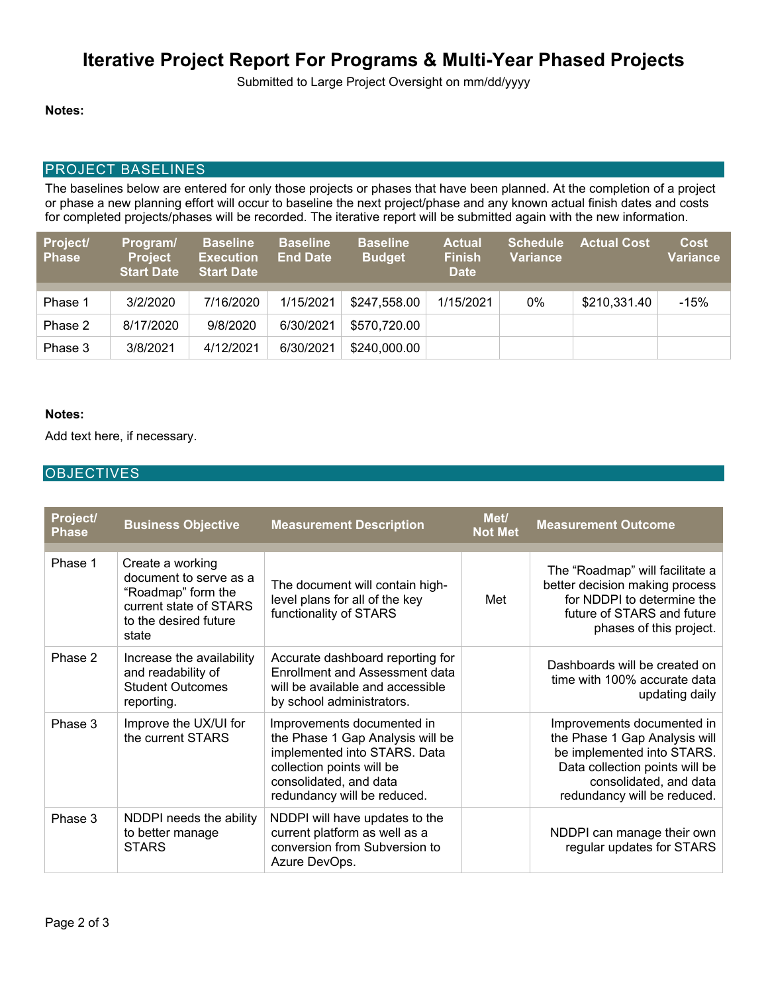# **Iterative Project Report For Programs & Multi-Year Phased Projects**

Submitted to Large Project Oversight on mm/dd/yyyy

#### **Notes:**

#### PROJECT BASELINES

The baselines below are entered for only those projects or phases that have been planned. At the completion of a project or phase a new planning effort will occur to baseline the next project/phase and any known actual finish dates and costs for completed projects/phases will be recorded. The iterative report will be submitted again with the new information.

| Project/<br><b>Phase</b> | Program/<br><b>Project</b><br><b>Start Date</b> | <b>Baseline</b><br><b>Execution</b><br><b>Start Date</b> | <b>Baseline</b><br><b>End Date</b> | <b>Baseline</b><br><b>Budget</b> | <b>Actual</b><br><b>Finish</b><br><b>Date</b> | <b>Schedule</b><br><b>Variance</b> | <b>Actual Cost</b> | <b>Cost</b><br>Variance |
|--------------------------|-------------------------------------------------|----------------------------------------------------------|------------------------------------|----------------------------------|-----------------------------------------------|------------------------------------|--------------------|-------------------------|
|                          |                                                 |                                                          |                                    |                                  |                                               |                                    |                    |                         |
| Phase 1                  | 3/2/2020                                        | 7/16/2020                                                | 1/15/2021                          | \$247,558.00                     | 1/15/2021                                     | 0%                                 | \$210,331.40       | $-15%$                  |
| Phase 2                  | 8/17/2020                                       | 9/8/2020                                                 | 6/30/2021                          | \$570,720.00                     |                                               |                                    |                    |                         |
| Phase 3                  | 3/8/2021                                        | 4/12/2021                                                | 6/30/2021                          | \$240,000.00                     |                                               |                                    |                    |                         |

#### **Notes:**

Add text here, if necessary.

#### **OBJECTIVES**

| Project/<br><b>Phase</b> | <b>Business Objective</b>                                                                                                    | <b>Measurement Description</b>                                                                                                                                                       | Met/<br><b>Not Met</b> | <b>Measurement Outcome</b>                                                                                                                                                           |
|--------------------------|------------------------------------------------------------------------------------------------------------------------------|--------------------------------------------------------------------------------------------------------------------------------------------------------------------------------------|------------------------|--------------------------------------------------------------------------------------------------------------------------------------------------------------------------------------|
| Phase 1                  | Create a working<br>document to serve as a<br>"Roadmap" form the<br>current state of STARS<br>to the desired future<br>state | The document will contain high-<br>level plans for all of the key<br>functionality of STARS                                                                                          | Met                    | The "Roadmap" will facilitate a<br>better decision making process<br>for NDDPI to determine the<br>future of STARS and future<br>phases of this project.                             |
| Phase 2                  | Increase the availability<br>and readability of<br><b>Student Outcomes</b><br>reporting.                                     | Accurate dashboard reporting for<br><b>Enrollment and Assessment data</b><br>will be available and accessible<br>by school administrators.                                           |                        | Dashboards will be created on<br>time with 100% accurate data<br>updating daily                                                                                                      |
| Phase 3                  | Improve the UX/UI for<br>the current STARS                                                                                   | Improvements documented in<br>the Phase 1 Gap Analysis will be<br>implemented into STARS. Data<br>collection points will be<br>consolidated, and data<br>redundancy will be reduced. |                        | Improvements documented in<br>the Phase 1 Gap Analysis will<br>be implemented into STARS.<br>Data collection points will be<br>consolidated, and data<br>redundancy will be reduced. |
| Phase 3                  | NDDPI needs the ability<br>to better manage<br><b>STARS</b>                                                                  | NDDPI will have updates to the<br>current platform as well as a<br>conversion from Subversion to<br>Azure DevOps.                                                                    |                        | NDDPI can manage their own<br>regular updates for STARS                                                                                                                              |